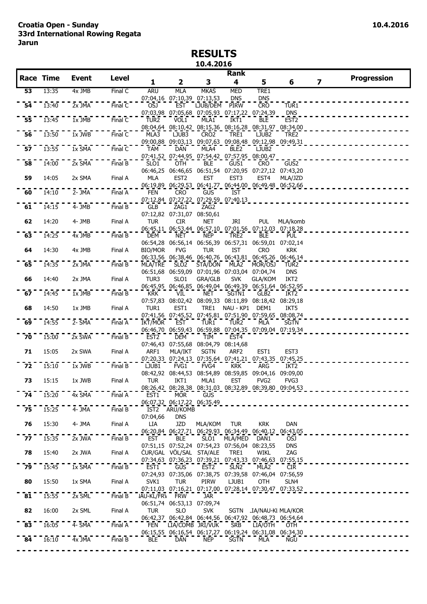## **RESULTS 10.4.2016**

|                 | <b>Race Time</b> | <b>Event</b>                              | <b>Level</b>         |                  |                                                                           |                  | Rank              |                         |                                |                         | <b>Progression</b> |
|-----------------|------------------|-------------------------------------------|----------------------|------------------|---------------------------------------------------------------------------|------------------|-------------------|-------------------------|--------------------------------|-------------------------|--------------------|
|                 |                  |                                           |                      | 1                | $\overline{\mathbf{2}}$                                                   | 3                | 4                 | 5                       | 6                              | $\overline{\mathbf{z}}$ |                    |
| 53              | 13:35            | 4x JMB                                    | Final C              | <b>ARU</b>       | <b>MLA</b><br>07:04,16 07:10,39 07:13,53                                  | <b>MKAS</b>      | <b>MED</b><br>DNS | TRE1<br>DNS             |                                |                         |                    |
| 54              | 13:40            | $2x$ JMA                                  | FinalC               | OSJ              | <b>EST</b>                                                                | LJUB/DEM         | <b>PIRW</b>       | <b>CRO</b>              | TUR1                           |                         |                    |
| 55              | 13:45            | $1x$ JMB                                  | Final $\overline{C}$ | TUR <sub>2</sub> | 07:03,98 07:05,68 07:05,93 07:17,22 07:24,39<br>VÖL1                      | MLA1             | IKT1              | <b>BLE</b>              | <b>DNS</b><br>EST <sub>2</sub> |                         |                    |
|                 |                  |                                           |                      |                  | 08:04,64 08:10,42 08:15,36 08:16,28 08:31,97 08:34,00                     |                  |                   |                         |                                |                         |                    |
| 56              | 13:50            | $1x$ JWB                                  | Final C              | MLA3             | LJUB3<br>09:00,88 09:03,13 09:07,63 09:08,48 09:12,98 09:49,31            | CRO <sub>2</sub> | TRE1              | LJUB <sub>2</sub>       | TRE2                           |                         |                    |
| 57              | 13:55            | $\overline{1}x \overline{S}M\overline{A}$ | Final C              | <b>TAM</b>       | <b>DAN</b>                                                                | MLA4             | BLE <sub>2</sub>  | LJUB2                   |                                |                         |                    |
| $\overline{58}$ | 14:00            | 2x SMA                                    | FinalB               | SLO1             | 07:41,52 07:44,95 07:54,42 07:57,95 08:00,47<br>OTH                       | <b>BLE</b>       | GUS1              | <b>CRO</b>              | GUS2                           |                         |                    |
|                 |                  |                                           |                      |                  | 06:46,25 06:46,65 06:51,54 07:20,95 07:27,12 07:43,20                     |                  |                   |                         |                                |                         |                    |
| 59              | 14:05            | 2x SMA                                    | Final A              | MLA              | EST <sub>2</sub><br>06:19,89 06:29,53 06:41,77 06:44,00 06:49,48 06:52,66 | EST              | EST3              | EST <sub>4</sub>        | MLA/JZD                        |                         |                    |
| 60              | 14:10            | 2- JMA                                    | Final A              | <b>FEN</b>       | <b>CRO</b>                                                                | <b>GUS</b>       | IST               |                         |                                |                         |                    |
| $6\overline{1}$ | 14:15            | $4 - JMB$                                 | Final B              | GLB              | 07:12,84 07:27,22 07:29,59 07:40,13<br>ZAG1                               | ZAG2             |                   |                         |                                |                         |                    |
|                 |                  |                                           |                      |                  | 07:12,82 07:31,07 08:50,61                                                |                  |                   |                         |                                |                         |                    |
| 62              | 14:20            | 4- JMB                                    | Final A              | <b>TUR</b>       | <b>CIR</b><br>06:45,11 06:53,44 06:57,10 07:01,56 07:12,03 07:18,28       | <b>NET</b>       | JRI               | PUL                     | MLA/komb                       |                         |                    |
| $\overline{63}$ | 14:25            | $4x$ JMB                                  | Final B              | <b>DEM</b>       | NET                                                                       | <b>NEP</b>       | TRE2              | <b>BLE</b>              | <b>PUL</b>                     |                         |                    |
| 64              | 14:30            | 4x JMB                                    | Final A              | <b>BIO/MOR</b>   | 06:54,28 06:56,14 06:56,39 06:57,31 06:59,01 07:02,14<br><b>FVG</b>       | <b>TUR</b>       | <b>IST</b>        | <b>CRO</b>              | <b>KRK</b>                     |                         |                    |
|                 |                  |                                           |                      |                  | 06:33,56 06:38,46 06:40,76 06:43,81 06:45,26 06:46,14                     |                  |                   |                         |                                |                         |                    |
| 65              | 14:35            | $2x$ JMA                                  | Final B              | MLA/TRE          | SLO <sub>2</sub><br>06:51,68 06:59,09 07:01,96 07:03,04 07:04,74          | STA/DON          | MLA2              | MOR/OSJ                 | TUR <sub>2</sub><br><b>DNS</b> |                         |                    |
| 66              | 14:40            | 2x JMA                                    | Final A              | TUR3             | SLO1                                                                      | <b>GRA/GLB</b>   | <b>SVK</b>        | <b>GLA/KOM</b>          | IKT <sub>2</sub>               |                         |                    |
| 67              | 14:45            | 1x JMB                                    | Final B              | <b>KRK</b>       | 06:45,95 06:46,85 06:49,04 06:49,39 06:51,64 06:52,95<br>VIL              | <b>NET</b>       | SGTN1             | GLB <sub>2</sub>        | IKT <sub>2</sub>               |                         |                    |
|                 |                  |                                           |                      |                  | 07:57,83 08:02,42 08:09,33 08:11,89 08:18,42 08:29,18                     |                  |                   |                         |                                |                         |                    |
| 68              | 14:50            | 1x JMB                                    | Final A              | TUR1             | EST1<br>07:41,56 07:45,52 07:45,81 07:51,90 07:59,65 08:08,74             | TRE1             | NAU - KP1         | DEM1                    | IKT5                           |                         |                    |
| 69              | 14:55            | $2 - 5MA$                                 | Final A              | IKT/MOR          | EST                                                                       | TUR1             | TUR <sub>2</sub>  | MLA                     | <b>SGTN</b>                    |                         |                    |
| 70              | 15:00            | $2x$ SWA                                  | Final B              |                  | 06:46,70 06:59,43 06:59,88 07:04,35 07:09,04 07:19,34                     |                  |                   |                         |                                |                         |                    |
|                 |                  |                                           |                      | EST <sub>2</sub> | DEM<br>07:46,43 07:55,68 08:04,79 08:14,68                                | TIM              | EST <sub>4</sub>  |                         |                                |                         |                    |
| 71              | 15:05            | 2x SWA                                    | Final A              | ARF1             | MLA/IKT<br>07:20,33 07:24,13 07:35,64 07:41,21 07:43,35 07:45,25          | <b>SGTN</b>      | ARF <sub>2</sub>  | EST <sub>1</sub>        | EST <sub>3</sub>               |                         |                    |
| 72              | 15:10            | $1x$ JWB                                  | Final B              | LJUB1            | FVG1                                                                      | FVG4             | <b>KRK</b>        | ARG                     | IKT2                           |                         |                    |
|                 |                  |                                           |                      |                  | 08:42,92 08:44,53 08:54,89 08:59,85 09:04,16 09:09,00                     |                  |                   |                         |                                |                         |                    |
| 73              | 15:15            | 1x JWB                                    | Final A              | <b>TUR</b>       | IKT1<br>08:26,42 08:28,38 08:31,03 08:32,89 08:39,80 09:04,53             | MLA1             | EST               | FVG <sub>2</sub>        | FVG3                           |                         |                    |
| 74              | 15:20            | 4x SMA                                    | Final A              | EST1             | MOR <sup>-COD</sup> GUS                                                   |                  |                   |                         |                                |                         |                    |
| $7\overline{5}$ | 15:25            | $4 - \overline{J}M\overline{A}$           | Final B              |                  | 06:07,32 06:17,22 06:35,49<br>IST2 ARU/KOMB                               |                  |                   |                         |                                |                         |                    |
|                 |                  |                                           |                      | 07:04,66         | <b>DNS</b>                                                                |                  |                   |                         |                                |                         |                    |
| 76              | 15:30            | 4- JMA                                    | Final A              | LIA              | JZD<br>06:20,84 06:27,71 06:29,93 06:34,49 06:40,12 06:43,05              | <b>MLA/KOM</b>   | <b>TUR</b>        | krk                     | DAN                            |                         |                    |
| 77              | 15:35            | $2x$ JWA                                  | Final B              | <b>EST</b>       | BLE                                                                       | SLO <sub>1</sub> | <b>MLA/MED</b>    | DAN <sub>1</sub>        | OSJ                            |                         |                    |
| 78              | 15:40            | 2x JWA                                    | Final A              |                  | 07:51,15 07:52,24 07:54,23 07:56,04 08:23,55<br>CUR/GAL VÖL/SAL STA/ALE   |                  | TRE1              | WIKL                    | <b>DNS</b><br>ZAG              |                         |                    |
|                 |                  |                                           |                      |                  | 07:34,63 07:36,23 07:39,21 07:43,33 07:46,63 07:55,15                     |                  |                   |                         |                                |                         |                    |
| 79              | 15:45            | $1x$ $\overline{SMA}$                     | FinalB               | EST1             | <b>GUS</b><br>07:24,93 07:35,06 07:38,75 07:39,58 07:46,04 07:56,59       | EST <sub>2</sub> | SLN <sub>2</sub>  | MLA2                    | <b>CIR</b>                     |                         |                    |
| 80              | 15:50            | 1x SMA                                    | Final A              | SVK1             | <b>TUR</b>                                                                | PIRW             | LJUB1             | OTH                     | SLN4                           |                         |                    |
| $\overline{81}$ | 15:55            | 2x SML                                    | Final B              | IAU-KL/FR\ FRW   | 07:11,03 07:16,21 07:17,00 07:28,14 07:30,47 07:33,52                     | <b>JAR</b>       |                   |                         |                                |                         |                    |
|                 |                  |                                           |                      |                  | 06:51,74 06:53,13 07:09,74                                                |                  |                   |                         |                                |                         |                    |
| 82              | 16:00            | 2x SML                                    | Final A              | <b>TUR</b>       | <b>SLO</b><br>06:42,37 06:42,84 06:44,56 06:47,92 06:48,73 06:54,64       | <b>SVK</b>       |                   | SGTN LIA/NAU-KI MLA/KOR |                                |                         |                    |
| $\overline{83}$ | 16:05            | $4 - 5MA$                                 | Final A              | FEN              | LIA/COMB JRI/VUK                                                          |                  | <b>SRB</b>        | LIA/OTH                 | OTH                            |                         |                    |
| 84              | 16:10            | $-4x$ JMA                                 | Final B              | <b>BLE</b>       | 06:15,55 06:16,54 06:17,27 06:19,24 06:31,08 06:34,30<br><b>DAN</b>       | <b>NEP</b>       | <b>SGTN</b>       | MLA                     | NGU                            |                         |                    |
|                 |                  |                                           |                      |                  |                                                                           |                  |                   |                         |                                |                         |                    |